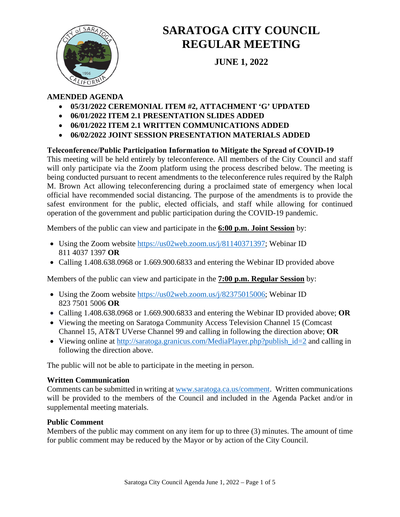

# **SARATOGA CITY COUNCIL REGULAR MEETING**

**JUNE 1, 2022**

## **AMENDED AGENDA**

- **05/31/2022 CEREMONIAL ITEM #2, ATTACHMENT 'G' UPDATED**
- **06/01/2022 ITEM 2.1 PRESENTATION SLIDES ADDED**
- **06/01/2022 ITEM 2.1 WRITTEN COMMUNICATIONS ADDED**
- **06/02/2022 JOINT SESSION PRESENTATION MATERIALS ADDED**

## **Teleconference/Public Participation Information to Mitigate the Spread of COVID‐19**

This meeting will be held entirely by teleconference. All members of the City Council and staff will only participate via the Zoom platform using the process described below. The meeting is being conducted pursuant to recent amendments to the teleconference rules required by the Ralph M. Brown Act allowing teleconferencing during a proclaimed state of emergency when local official have recommended social distancing. The purpose of the amendments is to provide the safest environment for the public, elected officials, and staff while allowing for continued operation of the government and public participation during the COVID-19 pandemic.

Members of the public can view and participate in the **6:00 p.m. Joint Session** by:

- Using the Zoom website [https://us02web.zoom.us/j/81140371397;](https://us02web.zoom.us/j/81140371397) Webinar ID 811 4037 1397 **OR**
- Calling 1.408.638.0968 or 1.669.900.6833 and entering the Webinar ID provided above

Members of the public can view and participate in the **7:00 p.m. Regular Session** by:

- Using the Zoom website [https://us02web.zoom.us/j/82375015006;](https://us02web.zoom.us/j/82375015006) Webinar ID 823 7501 5006 **OR**
- Calling 1.408.638.0968 or 1.669.900.6833 and entering the Webinar ID provided above; **OR**
- Viewing the meeting on Saratoga Community Access Television Channel 15 (Comcast Channel 15, AT&T UVerse Channel 99 and calling in following the direction above; **OR**
- Viewing online at http://saratoga.granicus.com/MediaPlayer.php?publish id=2 and calling in following the direction above.

The public will not be able to participate in the meeting in person.

## **Written Communication**

Comments can be submitted in writing at [www.saratoga.ca.us/comment.](http://www.saratoga.ca.us/comment) Written communications will be provided to the members of the Council and included in the Agenda Packet and/or in supplemental meeting materials.

## **Public Comment**

Members of the public may comment on any item for up to three (3) minutes. The amount of time for public comment may be reduced by the Mayor or by action of the City Council.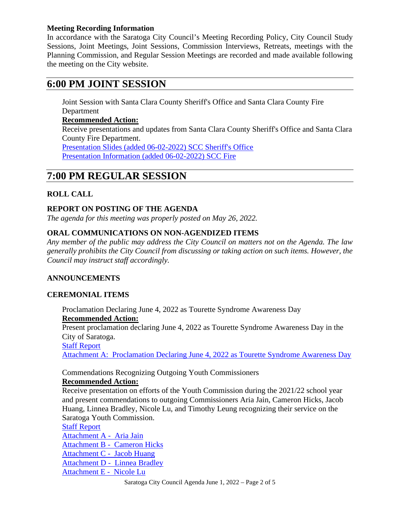#### **Meeting Recording Information**

In accordance with the Saratoga City Council's Meeting Recording Policy, City Council Study Sessions, Joint Meetings, Joint Sessions, Commission Interviews, Retreats, meetings with the Planning Commission, and Regular Session Meetings are recorded and made available following the meeting on the City website.

# **6:00 PM JOINT SESSION**

Joint Session with Santa Clara County Sheriff's Office and Santa Clara County Fire Department

# **Recommended Action:**

Receive presentations and updates from Santa Clara County Sheriff's Office and Santa Clara County Fire Department. [Presentation Slides \(added 06-02-2022\) SCC Sheriff's Office](https://legistarweb-production.s3.amazonaws.com/uploads/attachment/pdf/1406716/Presentation_Slides__added_06-02-2022__SCC_Sheriff_s_Office.pdf)

[Presentation Information \(added 06-02-2022\) SCC Fire](https://legistarweb-production.s3.amazonaws.com/uploads/attachment/pdf/1406717/Presentation_Information__added_06-01-2022__SCC_Fire.pdf)

# **7:00 PM REGULAR SESSION**

## **ROLL CALL**

## **REPORT ON POSTING OF THE AGENDA**

*The agenda for this meeting was properly posted on May 26, 2022.*

## **ORAL COMMUNICATIONS ON NON-AGENDIZED ITEMS**

*Any member of the public may address the City Council on matters not on the Agenda. The law generally prohibits the City Council from discussing or taking action on such items. However, the Council may instruct staff accordingly.*

## **ANNOUNCEMENTS**

#### **CEREMONIAL ITEMS**

Proclamation Declaring June 4, 2022 as Tourette Syndrome Awareness Day **Recommended Action:** Present proclamation declaring June 4, 2022 as Tourette Syndrome Awareness Day in the City of Saratoga. [Staff Report](https://legistarweb-production.s3.amazonaws.com/uploads/attachment/pdf/1377835/2022_06_01_Staff_Report_Tourette_Syndrome_Awareness.pdf)

[Attachment A: Proclamation Declaring June 4, 2022 as Tourette Syndrome Awareness Day](https://legistarweb-production.s3.amazonaws.com/uploads/attachment/pdf/1377836/Proclamation_declaring_June_4__2022_as_Tourette_Syndrome_Awareness_Day.pdf)

Commendations Recognizing Outgoing Youth Commissioners

#### **Recommended Action:**

Receive presentation on efforts of the Youth Commission during the 2021/22 school year and present commendations to outgoing Commissioners Aria Jain, Cameron Hicks, Jacob Huang, Linnea Bradley, Nicole Lu, and Timothy Leung recognizing their service on the Saratoga Youth Commission.

#### [Staff Report](https://legistarweb-production.s3.amazonaws.com/uploads/attachment/pdf/1394127/2022_06_01_Commendations_Recognizing_Outgoing_Youth_Commissioners.pdf)

[Attachment A - Aria Jain](https://legistarweb-production.s3.amazonaws.com/uploads/attachment/pdf/1394132/Attachment_A_-__Aria_Jain.pdf) [Attachment B - Cameron Hicks](https://legistarweb-production.s3.amazonaws.com/uploads/attachment/pdf/1394828/Attachment_B_-__Cameron_Hicks.pdf) [Attachment C - Jacob Huang](https://legistarweb-production.s3.amazonaws.com/uploads/attachment/pdf/1394128/Attachment_C_-__Jacob_Huang.pdf) [Attachment D - Linnea Bradley](https://legistarweb-production.s3.amazonaws.com/uploads/attachment/pdf/1394129/Attachment_D_-__Linnea_Bradley.pdf) [Attachment E - Nicole Lu](https://legistarweb-production.s3.amazonaws.com/uploads/attachment/pdf/1394130/Attachment_E_-__Nicole_Lu.pdf)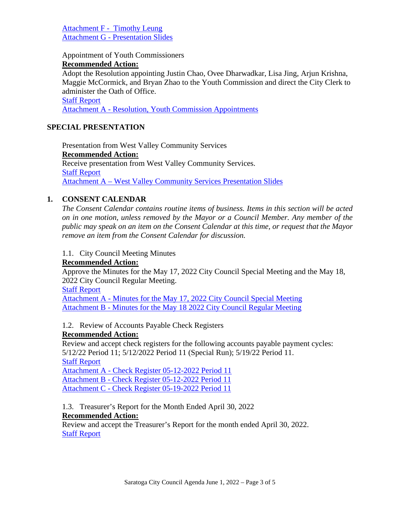[Attachment F - Timothy Leung](https://legistarweb-production.s3.amazonaws.com/uploads/attachment/pdf/1394131/Attachment_F_-__Timothy_Leung.pdf) Attachment G - [Presentation Slides](https://legistarweb-production.s3.amazonaws.com/uploads/attachment/pdf/1397434/2022_06_01_Presentation_Slides-Saratoga_Youth_Commission_2021-2022.pdf)

Appointment of Youth Commissioners

#### **Recommended Action:**

Adopt the Resolution appointing Justin Chao, Ovee Dharwadkar, Lisa Jing, Arjun Krishna, Maggie McCormick, and Bryan Zhao to the Youth Commission and direct the City Clerk to administer the Oath of Office.

#### [Staff Report](https://legistarweb-production.s3.amazonaws.com/uploads/attachment/pdf/1392242/Staff_Report.pdf)

Attachment A - [Resolution, Youth Commission Appointments](https://legistarweb-production.s3.amazonaws.com/uploads/attachment/pdf/1392236/Attachment_A_-_Resolution__Youth_Commission_Appointments.pdf)

## **SPECIAL PRESENTATION**

Presentation from West Valley Community Services **Recommended Action:** Receive presentation from West Valley Community Services. [Staff Report](https://legistarweb-production.s3.amazonaws.com/uploads/attachment/pdf/1392762/2022_06_01_Staff_Report_-_West_Valley_Community_Services_Presentation.pdf) Attachment A – [West Valley Community Services Presentation Slides](https://legistarweb-production.s3.amazonaws.com/uploads/attachment/pdf/1392763/2022_Saratoga_Presentation.pdf) 

## **1. CONSENT CALENDAR**

*The Consent Calendar contains routine items of business. Items in this section will be acted on in one motion, unless removed by the Mayor or a Council Member. Any member of the public may speak on an item on the Consent Calendar at this time, or request that the Mayor remove an item from the Consent Calendar for discussion.* 

#### 1.1. City Council Meeting Minutes

#### **Recommended Action:**

Approve the Minutes for the May 17, 2022 City Council Special Meeting and the May 18, 2022 City Council Regular Meeting.

[Staff Report](https://legistarweb-production.s3.amazonaws.com/uploads/attachment/pdf/1392006/Staff_Report.pdf)

Attachment A - [Minutes for the May 17, 2022 City Council Special Meeting](https://legistarweb-production.s3.amazonaws.com/uploads/attachment/pdf/1392007/Attachment_A_-_Minutes_for_the_May_17__2022_City_Council_Special_Meeting.pdf) Attachment B - [Minutes for the May 18 2022 City Council Regular Meeting](https://legistarweb-production.s3.amazonaws.com/uploads/attachment/pdf/1392008/Attachment_B_-_Minutes_for_the_May_18_2022_City_Council_Regular_Meeting.pdf)

1.2. Review of Accounts Payable Check Registers

#### **Recommended Action:**

Review and accept check registers for the following accounts payable payment cycles: 5/12/22 Period 11; 5/12/2022 Period 11 (Special Run); 5/19/22 Period 11.

[Staff Report](https://legistarweb-production.s3.amazonaws.com/uploads/attachment/pdf/1392560/Staff_Report_-_Council_Check_Register_-_Meeting_06-01-22.pdf)

Attachment A - [Check Register 05-12-2022 Period 11](https://legistarweb-production.s3.amazonaws.com/uploads/attachment/pdf/1392561/Attachment_A_-_Check_Register_05-12-2022_P11.pdf) Attachment B - [Check Register 05-12-2022 Period 11](https://legistarweb-production.s3.amazonaws.com/uploads/attachment/pdf/1392562/Attachment_B_-_Check_Register_05-12-2022_P11.pdf) Attachment C - [Check Register 05-19-2022 Period 11](https://legistarweb-production.s3.amazonaws.com/uploads/attachment/pdf/1392563/Attachment_C_-_Check_Register_05-19-2022_P11.pdf)

1.3. Treasurer's Report for the Month Ended April 30, 2022 **Recommended Action:**

Review and accept the Treasurer's Report for the month ended April 30, 2022. [Staff Report](https://legistarweb-production.s3.amazonaws.com/uploads/attachment/pdf/1394165/Treasurer_Report_for_April_22_-_CC_Meeting_06012022.pdf)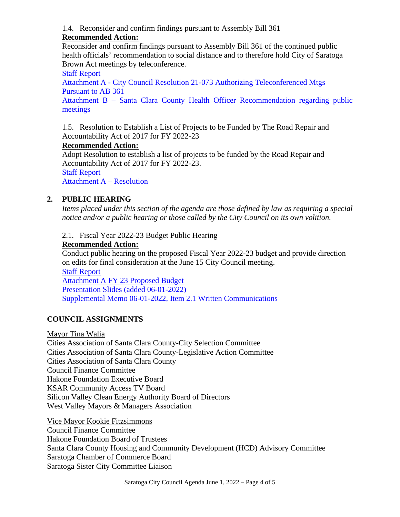1.4. Reconsider and confirm findings pursuant to Assembly Bill 361

# **Recommended Action:**

Reconsider and confirm findings pursuant to Assembly Bill 361 of the continued public health officials' recommendation to social distance and to therefore hold City of Saratoga Brown Act meetings by teleconference.

[Staff Report](https://legistarweb-production.s3.amazonaws.com/uploads/attachment/pdf/1389160/Staff_Report.pdf)

Attachment A - [City Council Resolution 21-073 Authorizing Teleconferenced Mtgs](https://legistarweb-production.s3.amazonaws.com/uploads/attachment/pdf/1389161/Attachment_A_-_City_Council_Resolution_21-073_Authorizing_Teleconferenced_Mtgs_Pursuant_to_AB_361.pdf)  [Pursuant to AB 361](https://legistarweb-production.s3.amazonaws.com/uploads/attachment/pdf/1389161/Attachment_A_-_City_Council_Resolution_21-073_Authorizing_Teleconferenced_Mtgs_Pursuant_to_AB_361.pdf)

Attachment B – [Santa Clara County Health Officer Recommendation regarding public](https://legistarweb-production.s3.amazonaws.com/uploads/attachment/pdf/1389162/Attachment_B___Santa_Clara_County_Health_Officer_Recommendation_regarding_public_meetings.pdf)  [meetings](https://legistarweb-production.s3.amazonaws.com/uploads/attachment/pdf/1389162/Attachment_B___Santa_Clara_County_Health_Officer_Recommendation_regarding_public_meetings.pdf)

1.5. Resolution to Establish a List of Projects to be Funded by The Road Repair and Accountability Act of 2017 for FY 2022-23

# **Recommended Action:**

Adopt Resolution to establish a list of projects to be funded by the Road Repair and Accountability Act of 2017 for FY 2022-23.

[Staff Report](https://legistarweb-production.s3.amazonaws.com/uploads/attachment/pdf/1393031/Staff_Report.pdf)

[Attachment A –](https://legistarweb-production.s3.amazonaws.com/uploads/attachment/pdf/1394779/Attachment_A_-_Resolution.pdf) Resolution

# **2. PUBLIC HEARING**

*Items placed under this section of the agenda are those defined by law as requiring a special notice and/or a public hearing or those called by the City Council on its own volition.* 

2.1. Fiscal Year 2022-23 Budget Public Hearing

# **Recommended Action:**

Conduct public hearing on the proposed Fiscal Year 2022-23 budget and provide direction on edits for final consideration at the June 15 City Council meeting.

[Staff Report](https://legistarweb-production.s3.amazonaws.com/uploads/attachment/pdf/1397827/Staff_Report.pdf) [Attachment A FY 23 Proposed Budget](https://legistarweb-production.s3.amazonaws.com/uploads/attachment/pdf/1397493/Final_6-1-22_Proposed_Budget_PH.pdf) [Presentation Slides \(added 06-01-2022\)](https://legistarweb-production.s3.amazonaws.com/uploads/attachment/pdf/1405248/Presentation_Slides__added_06-01-2022__Item_2.1.pdf) [Supplemental Memo 06-01-2022, Item 2.1 Written Communications](https://legistarweb-production.s3.amazonaws.com/uploads/attachment/pdf/1405305/Supplemental_Memo_06-01-2022__Item_2.1_Written_Communications.pdf)

# **COUNCIL ASSIGNMENTS**

Mayor Tina Walia

Cities Association of Santa Clara County-City Selection Committee Cities Association of Santa Clara County-Legislative Action Committee Cities Association of Santa Clara County Council Finance Committee Hakone Foundation Executive Board KSAR Community Access TV Board Silicon Valley Clean Energy Authority Board of Directors West Valley Mayors & Managers Association

Vice Mayor Kookie Fitzsimmons Council Finance Committee Hakone Foundation Board of Trustees Santa Clara County Housing and Community Development (HCD) Advisory Committee Saratoga Chamber of Commerce Board Saratoga Sister City Committee Liaison